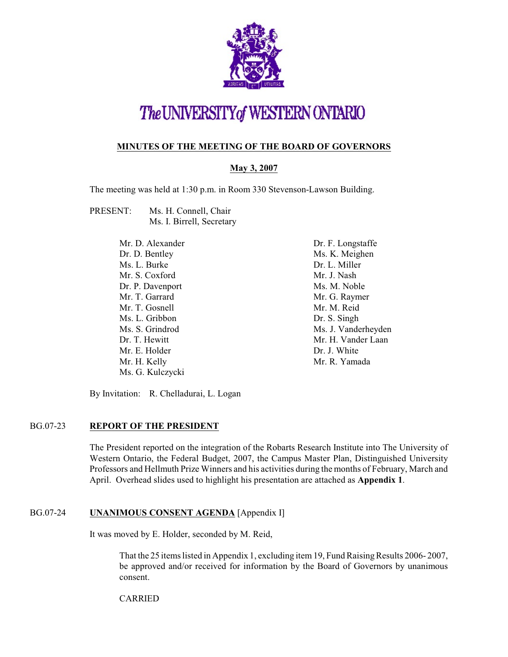

# The UNIVERSITY of WESTERN ONTARIO

#### **MINUTES OF THE MEETING OF THE BOARD OF GOVERNORS**

#### **May 3, 2007**

The meeting was held at 1:30 p.m. in Room 330 Stevenson-Lawson Building.

PRESENT: Ms. H. Connell, Chair Ms. I. Birrell, Secretary

| Dr. F. Longstaffe   |
|---------------------|
| Ms. K. Meighen      |
| Dr. L. Miller       |
| Mr. J. Nash         |
| Ms. M. Noble        |
| Mr. G. Raymer       |
| Mr. M. Reid         |
| Dr. S. Singh        |
| Ms. J. Vanderheyden |
| Mr. H. Vander Laan  |
| Dr. J. White        |
| Mr. R. Yamada       |
|                     |
|                     |

By Invitation: R. Chelladurai, L. Logan

#### BG.07-23 **REPORT OF THE PRESIDENT**

The President reported on the integration of the Robarts Research Institute into The University of Western Ontario, the Federal Budget, 2007, the Campus Master Plan, Distinguished University Professors and Hellmuth Prize Winners and his activities during the months of February, March and April. Overhead slides used to highlight his presentation are attached as **Appendix 1**.

#### BG.07-24 **UNANIMOUS CONSENT AGENDA** [Appendix I]

It was moved by E. Holder, seconded by M. Reid,

That the 25 items listed in Appendix 1, excluding item 19, Fund Raising Results 2006- 2007, be approved and/or received for information by the Board of Governors by unanimous consent.

CARRIED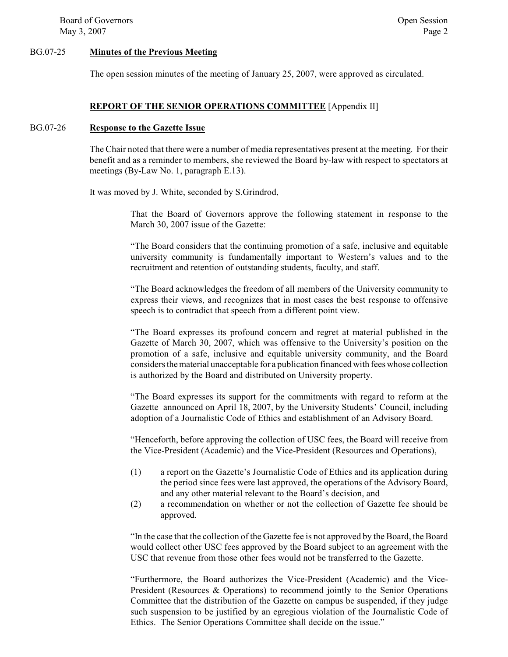Board of Governors **Open Session** Open Session May  $3, 2007$  Page 2

#### BG.07-25 **Minutes of the Previous Meeting**

The open session minutes of the meeting of January 25, 2007, were approved as circulated.

#### **REPORT OF THE SENIOR OPERATIONS COMMITTEE** [Appendix II]

#### BG.07-26 **Response to the Gazette Issue**

The Chair noted that there were a number of media representatives present at the meeting. For their benefit and as a reminder to members, she reviewed the Board by-law with respect to spectators at meetings (By-Law No. 1, paragraph E.13).

It was moved by J. White, seconded by S.Grindrod,

That the Board of Governors approve the following statement in response to the March 30, 2007 issue of the Gazette:

"The Board considers that the continuing promotion of a safe, inclusive and equitable university community is fundamentally important to Western's values and to the recruitment and retention of outstanding students, faculty, and staff.

"The Board acknowledges the freedom of all members of the University community to express their views, and recognizes that in most cases the best response to offensive speech is to contradict that speech from a different point view.

"The Board expresses its profound concern and regret at material published in the Gazette of March 30, 2007, which was offensive to the University's position on the promotion of a safe, inclusive and equitable university community, and the Board considers the material unacceptable for a publication financed with fees whose collection is authorized by the Board and distributed on University property.

"The Board expresses its support for the commitments with regard to reform at the Gazette announced on April 18, 2007, by the University Students' Council, including adoption of a Journalistic Code of Ethics and establishment of an Advisory Board.

"Henceforth, before approving the collection of USC fees, the Board will receive from the Vice-President (Academic) and the Vice-President (Resources and Operations),

- (1) a report on the Gazette's Journalistic Code of Ethics and its application during the period since fees were last approved, the operations of the Advisory Board, and any other material relevant to the Board's decision, and
- (2) a recommendation on whether or not the collection of Gazette fee should be approved.

"In the case that the collection of the Gazette fee is not approved by the Board, the Board would collect other USC fees approved by the Board subject to an agreement with the USC that revenue from those other fees would not be transferred to the Gazette.

"Furthermore, the Board authorizes the Vice-President (Academic) and the Vice-President (Resources & Operations) to recommend jointly to the Senior Operations Committee that the distribution of the Gazette on campus be suspended, if they judge such suspension to be justified by an egregious violation of the Journalistic Code of Ethics. The Senior Operations Committee shall decide on the issue."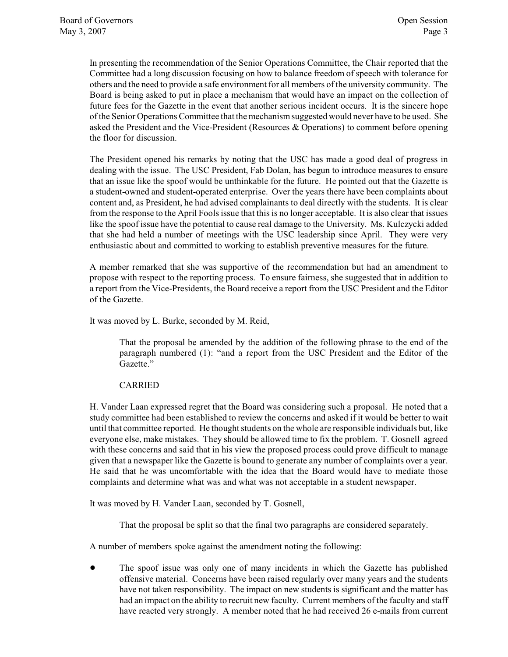In presenting the recommendation of the Senior Operations Committee, the Chair reported that the Committee had a long discussion focusing on how to balance freedom of speech with tolerance for others and the need to provide a safe environment for all members of the university community. The Board is being asked to put in place a mechanism that would have an impact on the collection of future fees for the Gazette in the event that another serious incident occurs. It is the sincere hope of the Senior Operations Committee that the mechanismsuggested would never have to be used. She asked the President and the Vice-President (Resources & Operations) to comment before opening the floor for discussion.

The President opened his remarks by noting that the USC has made a good deal of progress in dealing with the issue. The USC President, Fab Dolan, has begun to introduce measures to ensure that an issue like the spoof would be unthinkable for the future. He pointed out that the Gazette is a student-owned and student-operated enterprise. Over the years there have been complaints about content and, as President, he had advised complainants to deal directly with the students. It is clear from the response to the April Fools issue that this is no longer acceptable. It is also clear that issues like the spoof issue have the potential to cause real damage to the University. Ms. Kulczycki added that she had held a number of meetings with the USC leadership since April. They were very enthusiastic about and committed to working to establish preventive measures for the future.

A member remarked that she was supportive of the recommendation but had an amendment to propose with respect to the reporting process. To ensure fairness, she suggested that in addition to a report from the Vice-Presidents, the Board receive a report from the USC President and the Editor of the Gazette.

It was moved by L. Burke, seconded by M. Reid,

That the proposal be amended by the addition of the following phrase to the end of the paragraph numbered (1): "and a report from the USC President and the Editor of the Gazette."

#### CARRIED

H. Vander Laan expressed regret that the Board was considering such a proposal. He noted that a study committee had been established to review the concerns and asked if it would be better to wait until that committee reported. He thought students on the whole are responsible individuals but, like everyone else, make mistakes. They should be allowed time to fix the problem. T. Gosnell agreed with these concerns and said that in his view the proposed process could prove difficult to manage given that a newspaper like the Gazette is bound to generate any number of complaints over a year. He said that he was uncomfortable with the idea that the Board would have to mediate those complaints and determine what was and what was not acceptable in a student newspaper.

It was moved by H. Vander Laan, seconded by T. Gosnell,

That the proposal be split so that the final two paragraphs are considered separately.

A number of members spoke against the amendment noting the following:

! The spoof issue was only one of many incidents in which the Gazette has published offensive material. Concerns have been raised regularly over many years and the students have not taken responsibility. The impact on new students is significant and the matter has had an impact on the ability to recruit new faculty. Current members of the faculty and staff have reacted very strongly. A member noted that he had received 26 e-mails from current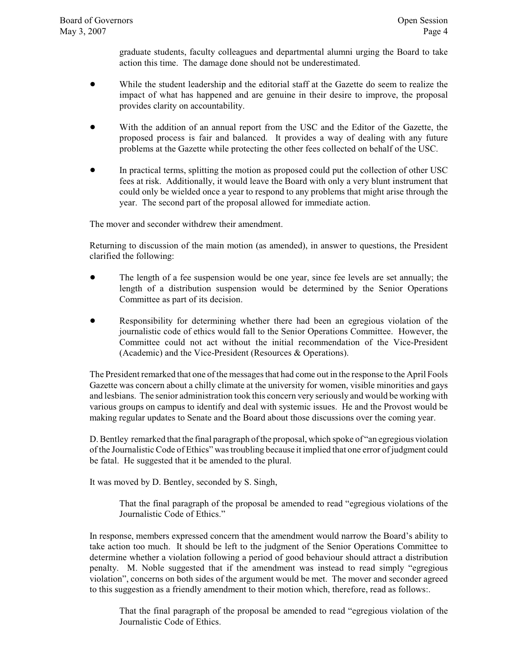graduate students, faculty colleagues and departmental alumni urging the Board to take action this time. The damage done should not be underestimated.

- While the student leadership and the editorial staff at the Gazette do seem to realize the impact of what has happened and are genuine in their desire to improve, the proposal provides clarity on accountability.
- With the addition of an annual report from the USC and the Editor of the Gazette, the proposed process is fair and balanced. It provides a way of dealing with any future problems at the Gazette while protecting the other fees collected on behalf of the USC.
- ! In practical terms, splitting the motion as proposed could put the collection of other USC fees at risk. Additionally, it would leave the Board with only a very blunt instrument that could only be wielded once a year to respond to any problems that might arise through the year. The second part of the proposal allowed for immediate action.

The mover and seconder withdrew their amendment.

Returning to discussion of the main motion (as amended), in answer to questions, the President clarified the following:

- ! The length of a fee suspension would be one year, since fee levels are set annually; the length of a distribution suspension would be determined by the Senior Operations Committee as part of its decision.
- Responsibility for determining whether there had been an egregious violation of the journalistic code of ethics would fall to the Senior Operations Committee. However, the Committee could not act without the initial recommendation of the Vice-President (Academic) and the Vice-President (Resources & Operations).

The President remarked that one of the messages that had come out in the response to the April Fools Gazette was concern about a chilly climate at the university for women, visible minorities and gays and lesbians. The senior administration took this concern very seriously and would be working with various groups on campus to identify and deal with systemic issues. He and the Provost would be making regular updates to Senate and the Board about those discussions over the coming year.

D. Bentley remarked that the final paragraph of the proposal, which spoke of "an egregious violation of the Journalistic Code of Ethics" was troubling because it implied that one error of judgment could be fatal. He suggested that it be amended to the plural.

It was moved by D. Bentley, seconded by S. Singh,

That the final paragraph of the proposal be amended to read "egregious violations of the Journalistic Code of Ethics."

In response, members expressed concern that the amendment would narrow the Board's ability to take action too much. It should be left to the judgment of the Senior Operations Committee to determine whether a violation following a period of good behaviour should attract a distribution penalty. M. Noble suggested that if the amendment was instead to read simply "egregious violation", concerns on both sides of the argument would be met. The mover and seconder agreed to this suggestion as a friendly amendment to their motion which, therefore, read as follows:.

That the final paragraph of the proposal be amended to read "egregious violation of the Journalistic Code of Ethics.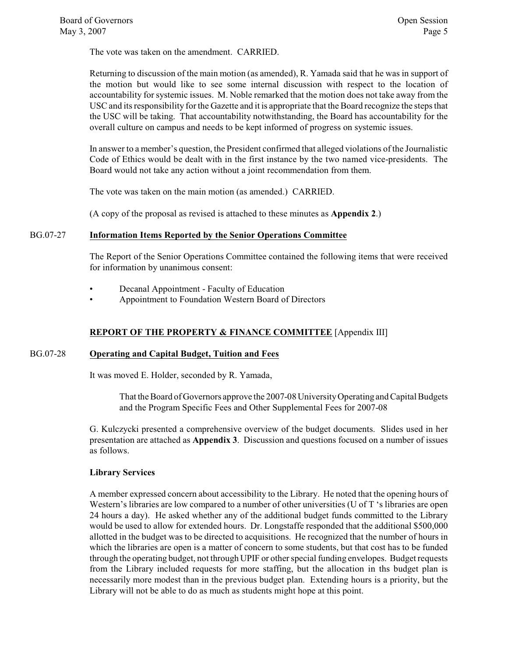The vote was taken on the amendment. CARRIED.

Returning to discussion of the main motion (as amended), R. Yamada said that he was in support of the motion but would like to see some internal discussion with respect to the location of accountability for systemic issues. M. Noble remarked that the motion does not take away from the USC and its responsibility for the Gazette and it is appropriate that the Board recognize the steps that the USC will be taking. That accountability notwithstanding, the Board has accountability for the overall culture on campus and needs to be kept informed of progress on systemic issues.

In answer to a member's question, the President confirmed that alleged violations of the Journalistic Code of Ethics would be dealt with in the first instance by the two named vice-presidents. The Board would not take any action without a joint recommendation from them.

The vote was taken on the main motion (as amended.) CARRIED.

(A copy of the proposal as revised is attached to these minutes as **Appendix 2**.)

#### BG.07-27 **Information Items Reported by the Senior Operations Committee**

The Report of the Senior Operations Committee contained the following items that were received for information by unanimous consent:

- Decanal Appointment Faculty of Education
- Appointment to Foundation Western Board of Directors

#### **REPORT OF THE PROPERTY & FINANCE COMMITTEE** [Appendix III]

#### BG.07-28 **Operating and Capital Budget, Tuition and Fees**

It was moved E. Holder, seconded by R. Yamada,

That the Board of Governors approve the 2007-08 University Operating and Capital Budgets and the Program Specific Fees and Other Supplemental Fees for 2007-08

G. Kulczycki presented a comprehensive overview of the budget documents. Slides used in her presentation are attached as **Appendix 3**. Discussion and questions focused on a number of issues as follows.

#### **Library Services**

A member expressed concern about accessibility to the Library. He noted that the opening hours of Western's libraries are low compared to a number of other universities (U of T 's libraries are open 24 hours a day). He asked whether any of the additional budget funds committed to the Library would be used to allow for extended hours. Dr. Longstaffe responded that the additional \$500,000 allotted in the budget was to be directed to acquisitions. He recognized that the number of hours in which the libraries are open is a matter of concern to some students, but that cost has to be funded through the operating budget, not through UPIF or other special funding envelopes. Budget requests from the Library included requests for more staffing, but the allocation in ths budget plan is necessarily more modest than in the previous budget plan. Extending hours is a priority, but the Library will not be able to do as much as students might hope at this point.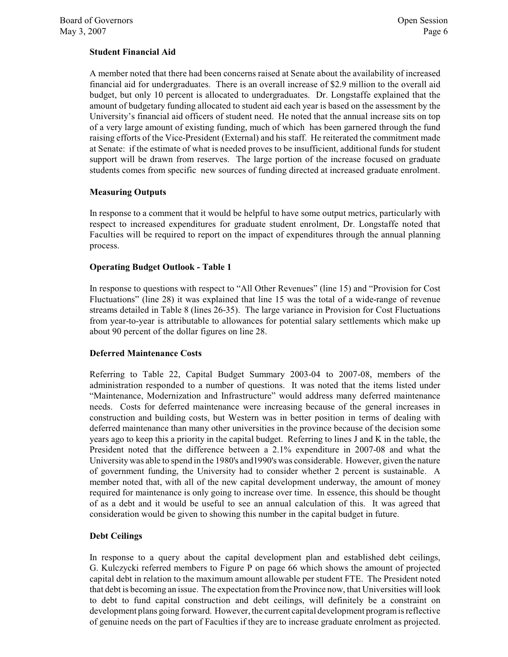#### **Student Financial Aid**

A member noted that there had been concerns raised at Senate about the availability of increased financial aid for undergraduates. There is an overall increase of \$2.9 million to the overall aid budget, but only 10 percent is allocated to undergraduates. Dr. Longstaffe explained that the amount of budgetary funding allocated to student aid each year is based on the assessment by the University's financial aid officers of student need. He noted that the annual increase sits on top of a very large amount of existing funding, much of which has been garnered through the fund raising efforts of the Vice-President (External) and his staff. He reiterated the commitment made at Senate: if the estimate of what is needed proves to be insufficient, additional funds for student support will be drawn from reserves. The large portion of the increase focused on graduate students comes from specific new sources of funding directed at increased graduate enrolment.

#### **Measuring Outputs**

In response to a comment that it would be helpful to have some output metrics, particularly with respect to increased expenditures for graduate student enrolment, Dr. Longstaffe noted that Faculties will be required to report on the impact of expenditures through the annual planning process.

#### **Operating Budget Outlook - Table 1**

In response to questions with respect to "All Other Revenues" (line 15) and "Provision for Cost Fluctuations" (line 28) it was explained that line 15 was the total of a wide-range of revenue streams detailed in Table 8 (lines 26-35). The large variance in Provision for Cost Fluctuations from year-to-year is attributable to allowances for potential salary settlements which make up about 90 percent of the dollar figures on line 28.

#### **Deferred Maintenance Costs**

Referring to Table 22, Capital Budget Summary 2003-04 to 2007-08, members of the administration responded to a number of questions. It was noted that the items listed under "Maintenance, Modernization and Infrastructure" would address many deferred maintenance needs. Costs for deferred maintenance were increasing because of the general increases in construction and building costs, but Western was in better position in terms of dealing with deferred maintenance than many other universities in the province because of the decision some years ago to keep this a priority in the capital budget. Referring to lines J and K in the table, the President noted that the difference between a 2.1% expenditure in 2007-08 and what the University was able to spend in the 1980's and1990's was considerable. However, given the nature of government funding, the University had to consider whether 2 percent is sustainable. A member noted that, with all of the new capital development underway, the amount of money required for maintenance is only going to increase over time. In essence, this should be thought of as a debt and it would be useful to see an annual calculation of this. It was agreed that consideration would be given to showing this number in the capital budget in future.

#### **Debt Ceilings**

In response to a query about the capital development plan and established debt ceilings, G. Kulczycki referred members to Figure P on page 66 which shows the amount of projected capital debt in relation to the maximum amount allowable per student FTE. The President noted that debt is becoming an issue. The expectation fromthe Province now, that Universities will look to debt to fund capital construction and debt ceilings, will definitely be a constraint on development plans going forward. However, the current capital development program is reflective of genuine needs on the part of Faculties if they are to increase graduate enrolment as projected.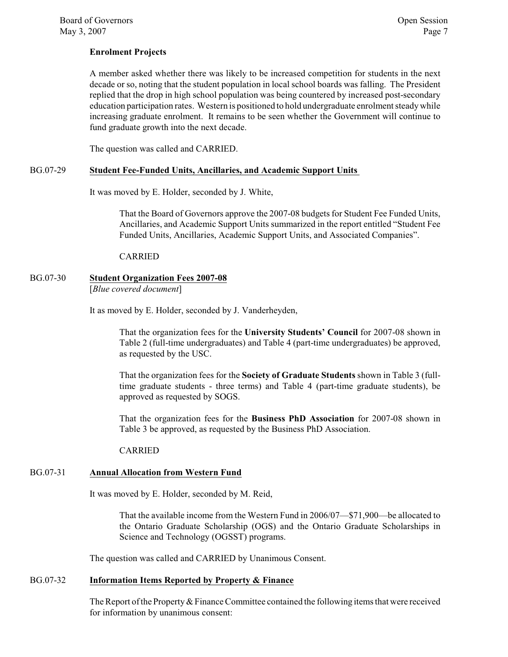#### **Enrolment Projects**

A member asked whether there was likely to be increased competition for students in the next decade or so, noting that the student population in local school boards was falling. The President replied that the drop in high school population was being countered by increased post-secondary education participation rates. Western is positioned to hold undergraduate enrolment steady while increasing graduate enrolment. It remains to be seen whether the Government will continue to fund graduate growth into the next decade.

The question was called and CARRIED.

#### BG.07-29 **Student Fee-Funded Units, Ancillaries, and Academic Support Units**

It was moved by E. Holder, seconded by J. White,

That the Board of Governors approve the 2007-08 budgets for Student Fee Funded Units, Ancillaries, and Academic Support Units summarized in the report entitled "Student Fee Funded Units, Ancillaries, Academic Support Units, and Associated Companies".

CARRIED

### BG.07-30 **Student Organization Fees 2007-08**

[*Blue covered document*]

It as moved by E. Holder, seconded by J. Vanderheyden,

That the organization fees for the **University Students' Council** for 2007-08 shown in Table 2 (full-time undergraduates) and Table 4 (part-time undergraduates) be approved, as requested by the USC.

That the organization fees for the **Society of Graduate Students** shown in Table 3 (fulltime graduate students - three terms) and Table 4 (part-time graduate students), be approved as requested by SOGS.

That the organization fees for the **Business PhD Association** for 2007-08 shown in Table 3 be approved, as requested by the Business PhD Association.

CARRIED

#### BG.07-31 **Annual Allocation from Western Fund**

It was moved by E. Holder, seconded by M. Reid,

That the available income from the Western Fund in 2006/07—\$71,900—be allocated to the Ontario Graduate Scholarship (OGS) and the Ontario Graduate Scholarships in Science and Technology (OGSST) programs.

The question was called and CARRIED by Unanimous Consent.

#### BG.07-32 **Information Items Reported by Property & Finance**

The Report of the Property & Finance Committee contained the following items that were received for information by unanimous consent: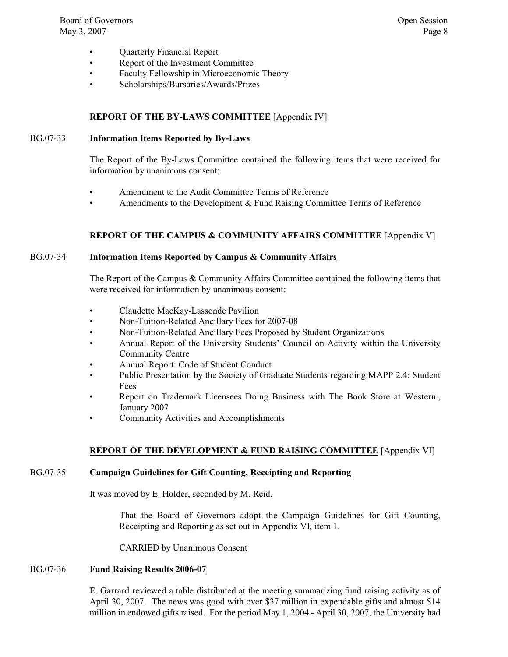- Quarterly Financial Report
- Report of the Investment Committee
- Faculty Fellowship in Microeconomic Theory
- Scholarships/Bursaries/Awards/Prizes

#### **REPORT OF THE BY-LAWS COMMITTEE** [Appendix IV]

#### BG.07-33 **Information Items Reported by By-Laws**

The Report of the By-Laws Committee contained the following items that were received for information by unanimous consent:

- Amendment to the Audit Committee Terms of Reference
- Amendments to the Development  $&$  Fund Raising Committee Terms of Reference

#### **REPORT OF THE CAMPUS & COMMUNITY AFFAIRS COMMITTEE** [Appendix V]

#### BG.07-34 **Information Items Reported by Campus & Community Affairs**

The Report of the Campus & Community Affairs Committee contained the following items that were received for information by unanimous consent:

- Claudette MacKay-Lassonde Pavilion
- Non-Tuition-Related Ancillary Fees for 2007-08
- Non-Tuition-Related Ancillary Fees Proposed by Student Organizations
- Annual Report of the University Students' Council on Activity within the University Community Centre
- Annual Report: Code of Student Conduct
- Public Presentation by the Society of Graduate Students regarding MAPP 2.4: Student Fees
- Report on Trademark Licensees Doing Business with The Book Store at Western., January 2007
- Community Activities and Accomplishments

#### **REPORT OF THE DEVELOPMENT & FUND RAISING COMMITTEE** [Appendix VI]

#### BG.07-35 **Campaign Guidelines for Gift Counting, Receipting and Reporting**

It was moved by E. Holder, seconded by M. Reid,

That the Board of Governors adopt the Campaign Guidelines for Gift Counting, Receipting and Reporting as set out in Appendix VI, item 1.

CARRIED by Unanimous Consent

#### BG.07-36 **Fund Raising Results 2006-07**

E. Garrard reviewed a table distributed at the meeting summarizing fund raising activity as of April 30, 2007. The news was good with over \$37 million in expendable gifts and almost \$14 million in endowed gifts raised. For the period May 1, 2004 - April 30, 2007, the University had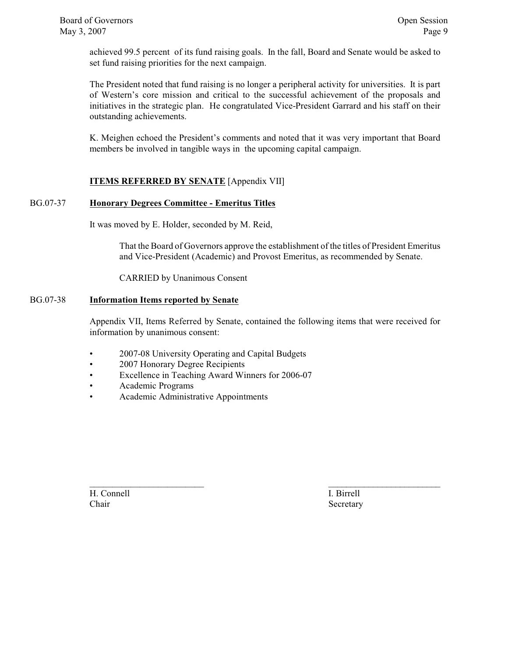achieved 99.5 percent of its fund raising goals. In the fall, Board and Senate would be asked to set fund raising priorities for the next campaign.

The President noted that fund raising is no longer a peripheral activity for universities. It is part of Western's core mission and critical to the successful achievement of the proposals and initiatives in the strategic plan. He congratulated Vice-President Garrard and his staff on their outstanding achievements.

K. Meighen echoed the President's comments and noted that it was very important that Board members be involved in tangible ways in the upcoming capital campaign.

#### **ITEMS REFERRED BY SENATE** [Appendix VII]

#### BG.07-37 **Honorary Degrees Committee - Emeritus Titles**

It was moved by E. Holder, seconded by M. Reid,

That the Board of Governors approve the establishment of the titles of President Emeritus and Vice-President (Academic) and Provost Emeritus, as recommended by Senate.

CARRIED by Unanimous Consent

#### BG.07-38 **Information Items reported by Senate**

Appendix VII, Items Referred by Senate, contained the following items that were received for information by unanimous consent:

 $\mathcal{L}_\text{max}$  , and the contract of the contract of the contract of the contract of the contract of the contract of the contract of the contract of the contract of the contract of the contract of the contract of the contr

- 2007-08 University Operating and Capital Budgets
- 2007 Honorary Degree Recipients
- Excellence in Teaching Award Winners for 2006-07
- Academic Programs
- Academic Administrative Appointments

H. Connell I. Birrell Chair Secretary Secretary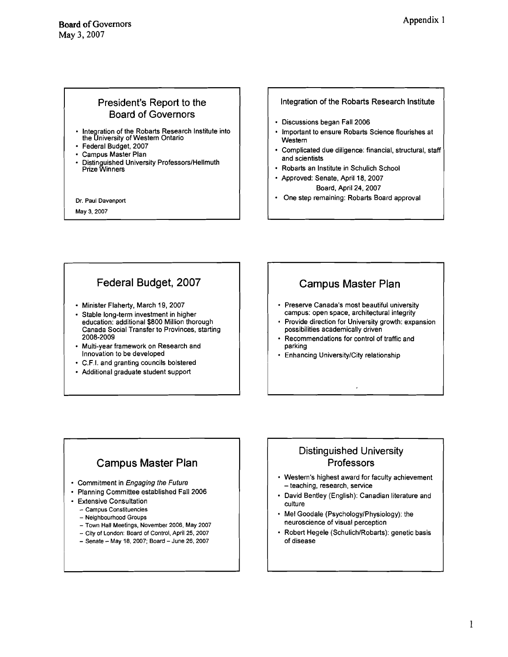### President's Report to the Board of Governors

- Integration of the Robarts Research Institute into the University of Western Ontario
- Federal Budget, **2007**
- Campus Master Plan
- Distinguished University Professors/Hellmuth Prize Winners

Dr. Paul Davenport

May 3.2007

#### **Integration of the Robarts Research lnstitute**

- Discussions began Fall **2006**
- Important to ensure Robarts Science flourishes at **Western**
- Complicated due diligence: financial, structural, staff and scientists
- Robarts an lnstitute in Schulich School
- Approved: Senate, April **18, 2007**  Board, April **24,2007**
- One step remaining: Robarts Board approval

### Federal Budget, 2007

- Minister Flaherty, March **19, 2007**
- Stable long-term investment in higher education: additional **\$800** Million thorough Canada Social Transfer to Provinces, starting **2008-2009**
- Multi-year framework on Research and Innovation to be developed
- C.F.I. and granting councils bolstered
- Additional graduate student support

## Campus Master Plan

- Preserve Canada's most beautiful university campus: open space, architectural integrity
- Provide direction for University growth: expansion possibilities academically driven
- Recommendations for control of traffic and parking
- Enhancing UniversitylCity relationship

## Campus Master Plan

- Commitment in Engaging the Future
- Planning Committee established Fall **2006**
- Extensive Consultation
	- Campus Constituencies
	- Neighbourhood Groups
	- Town Hall Meetings, November 2006, May 2007
	- City of London: Board of Control, April 25. 2007
	- Senate May 18, 2007; Board June 26, 2007

### Distinguished University **Professors**

- Western's highest award for faculty achievement - teaching, research, service
- David Bentley (English): Canadian literature and culture
- Mel Goodale (PsychologylPhysiology): the neuroscience of visual perception
- Robert Hegele (Schulich/Robarts): genetic basis of disease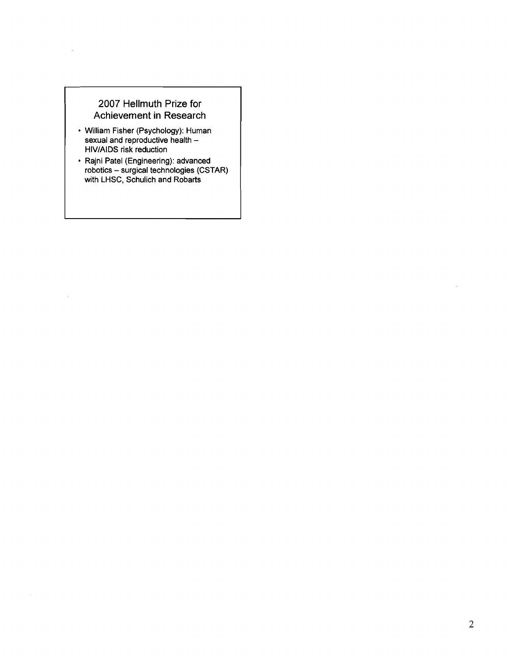### **2007 Hellmuth Prize for Achievement in Research**

 $\ddot{\phantom{a}}$ 

- **William Fisher (Psychology): Human sexual and reproductive health HIVIAIDS risk reduction**
- **Rajni Patel (Engineering): advanced robotics surgical technologies (CSTAR) with LHSC, Schulich and Robarts**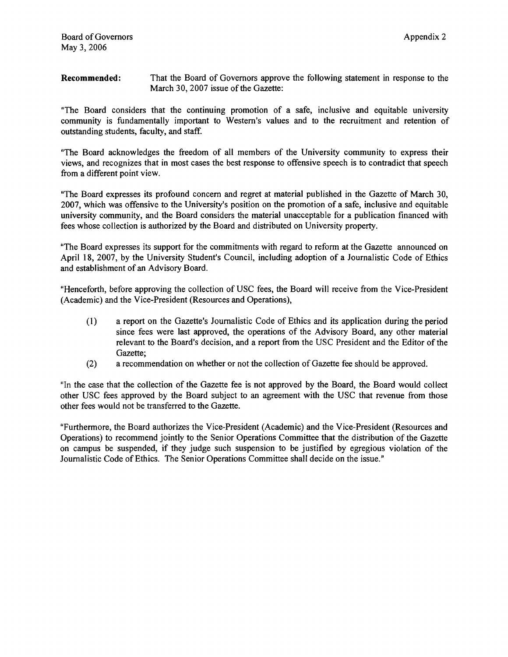**Recommended:** That the Board of Governors approve the following statement in response to the March 30, 2007 issue of the Gazette:

"The Board considers that the continuing promotion of a safe, inclusive and equitable university community is findarnentally important to Western's values and to the recruitment and retention of outstanding students, faculty, and staff.

"The Board acknowledges the freedom of all members of the University community to express their views, and recognizes that in most cases the best response to offensive speech is to contradict that speech from a different point view.

"The Board expresses its profound concern and regret at material published in the Gazette of March 30, 2007, which was offensive to the University's position on the promotion of a safe, inclusive and equitable university community, and the Board considers the material unacceptable for a publication financed with fees whose collection is authorized by the Board and distributed on University property.

"The Board expresses its support for the commitments with regard to reform at the Gazette announced on April 18, 2007, by the University Student's Council, including adoption of a Journalistic Code of Ethics and establishment of **an** Advisory Board.

"Henceforth, before approving the collection of USC fees, the Board will receive from the Vice-President (Academic) and the Vice-President (Resources and Operations),

- **(1)** a report on the Gazette's Journalistic Code of Ethics and its application during the period since fees were last approved, the operations of the Advisory Board, any other material relevant to the Board's decision, and a report fiom the USC President and the Editor of the Gazette;
- (2) a recommendation on whether or not the collection of Gazette fee should be approved.

"In the case that the collection of the Gazette fee is not approved by the Board, the Board would collect other USC fees approved by the Board subject to an agreement with the USC that revenue fiom those other fees would not be transferred to the Gazette.

"Furthermore, the Board authorizes the Vice-President (Academic) and the Vice-President (Resources and Operations) to recommend jointly to the Senior Operations Committee that the distribution of the Gazette on campus be suspended, if they judge such suspension to be justified by egregious violation of the Journalistic Code of Ethics. The Senior Operations Committee shall decide on the issue."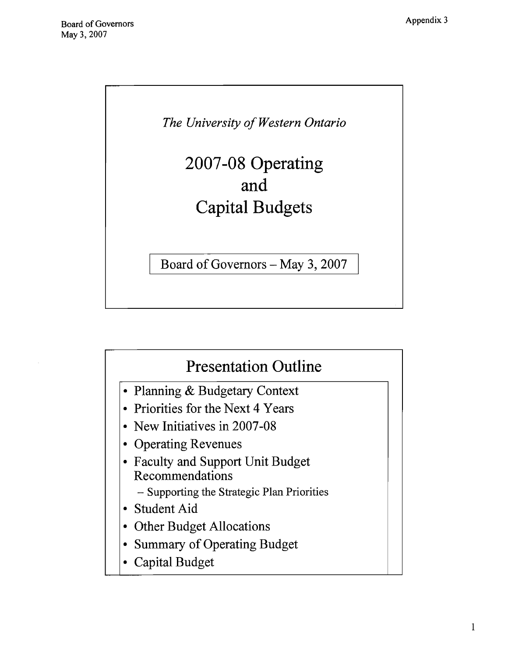

# 2007-08 Operating and Capital Budgets

Board of Governors - May 3, 2007



- Planning & Budgetary Context
- Priorities for the Next 4 Years
- New Initiatives in 2007-08
- Operating Revenues
- Faculty and Support Unit Budget Recommendations
	- Supporting the Strategic Plan Priorities
- Student Aid
- Other Budget Allocations
- Summary of Operating Budget
- Capital Budget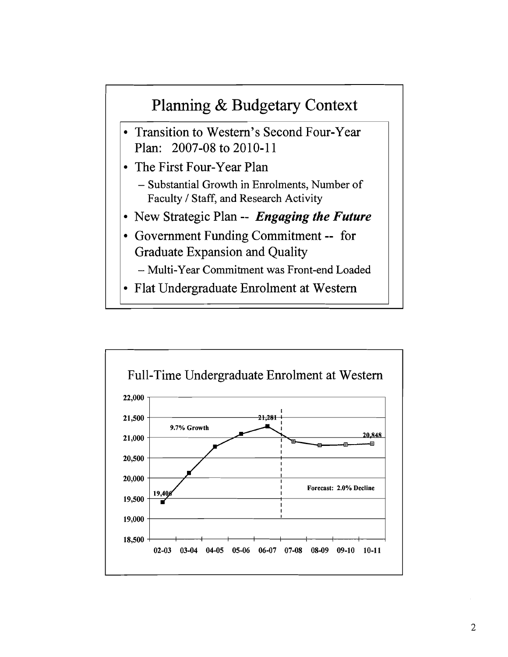

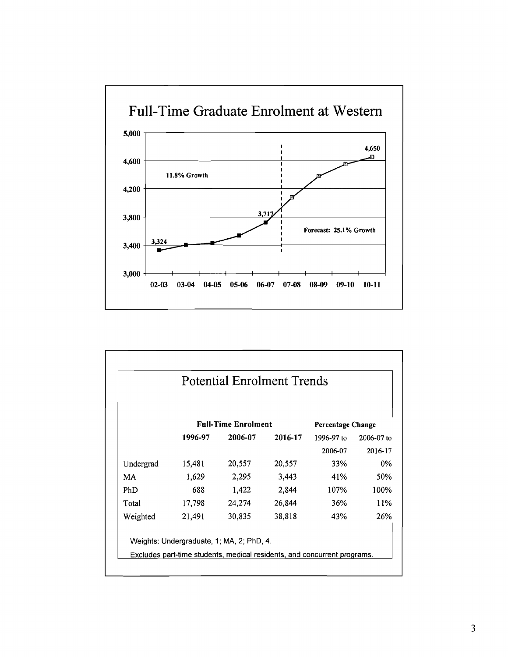

| <b>Potential Enrolment Trends</b> |                            |         |         |                          |                |  |
|-----------------------------------|----------------------------|---------|---------|--------------------------|----------------|--|
|                                   | <b>Full-Time Enrolment</b> |         |         | <b>Percentage Change</b> |                |  |
|                                   | 1996-97                    | 2006-07 | 2016-17 | 1996-97 to               | $2006 - 07$ to |  |
|                                   |                            |         |         | 2006-07                  | 2016-17        |  |
| Undergrad                         | 15,481                     | 20,557  | 20,557  | 33%                      | $0\%$          |  |
| MA.                               | 1,629                      | 2,295   | 3,443   | 41%                      | 50%            |  |
| <b>PhD</b>                        | 688                        | 1,422   | 2,844   | 107%                     | 100%           |  |
|                                   | 17,798                     | 24,274  | 26,844  | 36%                      | 11%            |  |
| Total                             |                            |         |         |                          |                |  |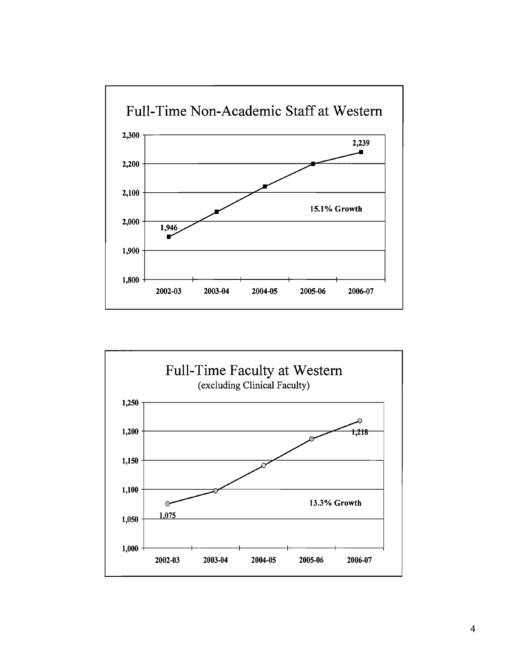

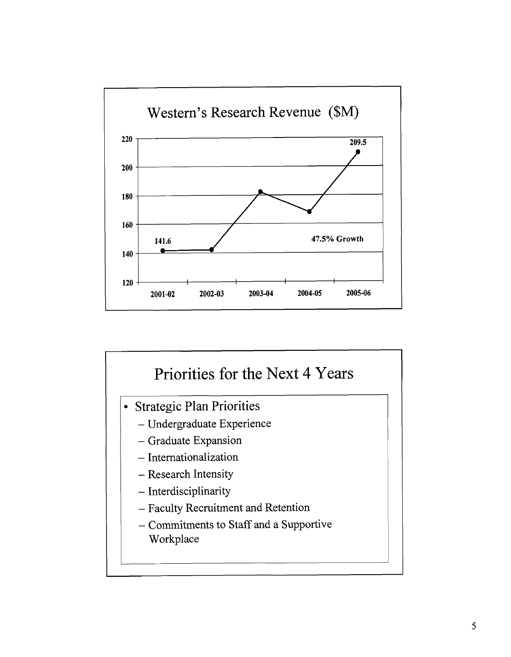

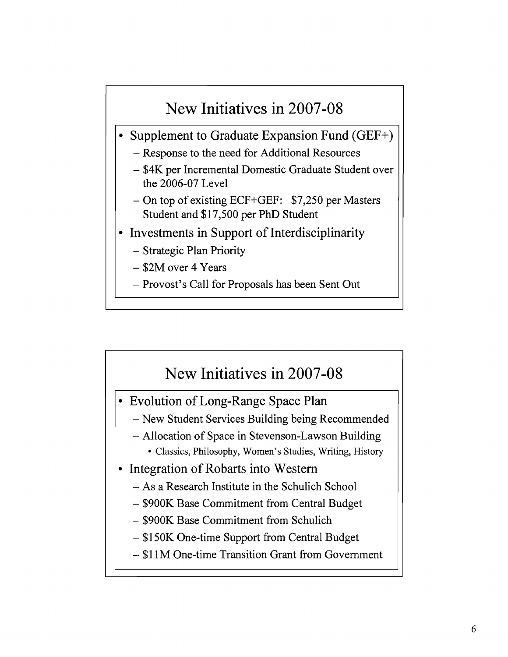# New Initiatives in 2007-08

- Supplement to Graduate Expansion Fund (GEF+)
	- Response to the need for Additional Resources
	- \$4K per Incremental Domestic Graduate Student over the 2006-07 Level
	- On top of existing ECF+GEF: \$7,250 per Masters Student and \$17,500 per PhD Student
- Investments in Support of Interdisciplinarity
	- Strategic Plan Priority
	- \$2M over 4 Years
	- Provost's Call for Proposals has been Sent Out

# New Initiatives in 2007-08

- Evolution of Long-Range Space Plan
	- New Student Services Building being Recommended
	- Allocation of Space in Stevenson-Lawson Building
		- Classics, Philosophy, Women's Studies, Writing, History
- Integration of Robarts into Western  $\bullet$ 
	- As a Research Institute in the Schulich School
	- \$900K Base Commitment from Central Budget
	- \$900K Base Commitment from Schulich
	- \$1 50K One-time Support from Central Budget
	- \$1 1M One-time Transition Grant fiom Government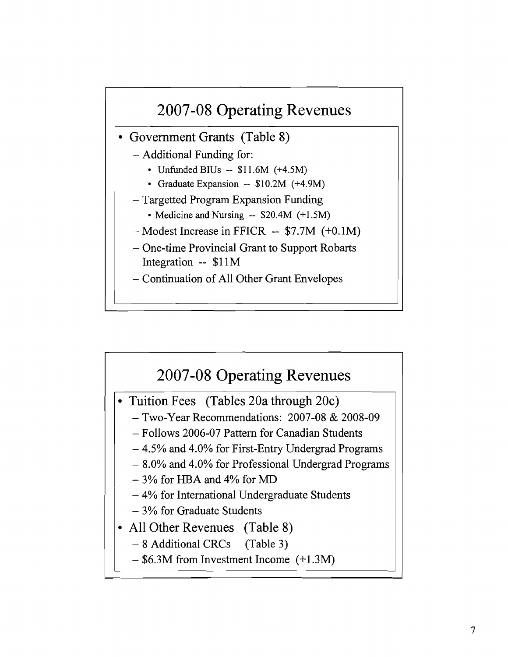

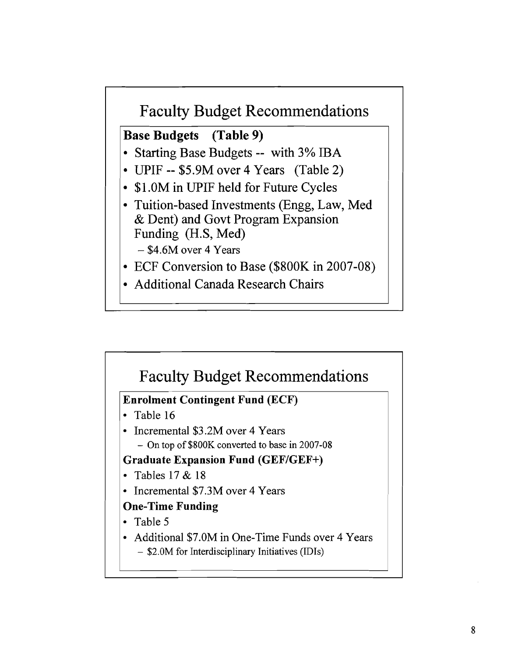

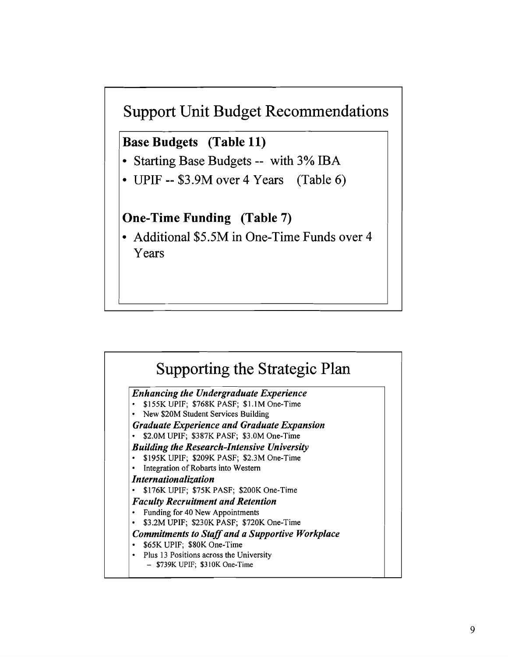

**Base Budgets (Table 11)** 

- Starting Base Budgets -- with 3% IBA
- UPIF -- \$3.9M over 4 Years (Table 6)

## **One-Time Funding (Table 7)**

• Additional \$5.5M in One-Time Funds over 4 Years

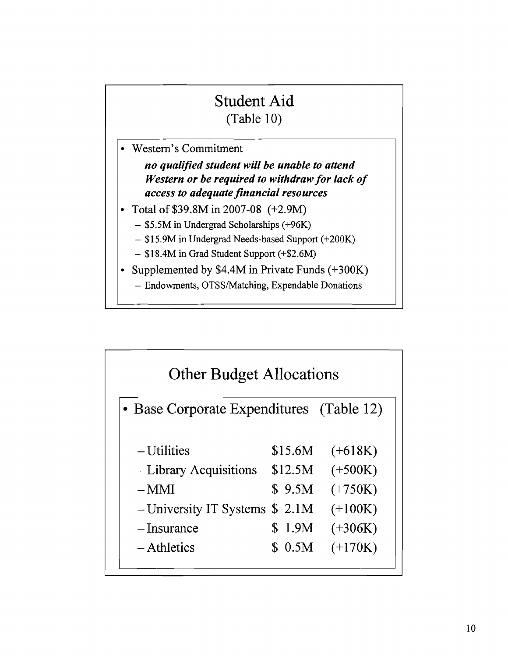# Student Aid (Table 10)

- Western's Commitment *no qualified student will be unable to attend Western or be required to withdraw for lack of access to adequate financial resources*  Total of \$39.8M in 2007-08 (+2.9M)
	- \$5.5M in Undergrad Scholarships (+96K)
		- \$15.9M in Undergrad Needs-based Support (+200K)
		- \$18.4M in Grad Student Support (+\$2.6M)
- Supplemented by \$4.4M in Private Funds  $(+300K)$ 
	- Endowments, OTSS/Matching, Expendable Donations

| <b>Other Budget Allocations</b><br>• Base Corporate Expenditures (Table 12) |          |           |  |  |  |  |
|-----------------------------------------------------------------------------|----------|-----------|--|--|--|--|
|                                                                             |          |           |  |  |  |  |
| - Library Acquisitions                                                      | \$12.5M  | $(+500K)$ |  |  |  |  |
| $-MMI$                                                                      | \$9.5M\$ | $(+750K)$ |  |  |  |  |
| $-$ University IT Systems \$ 2.1M                                           |          | $(+100K)$ |  |  |  |  |
| $-I$ nsurance                                                               | \$1.9M   | $(+306K)$ |  |  |  |  |
| – Athletics                                                                 | \$0.5M   | $(+170K)$ |  |  |  |  |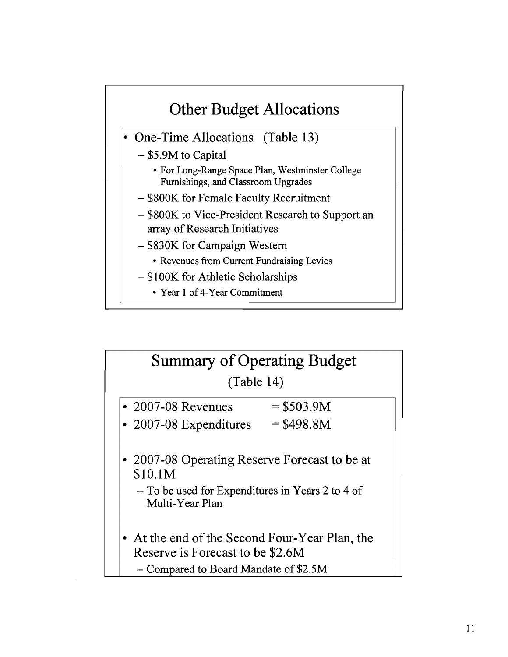

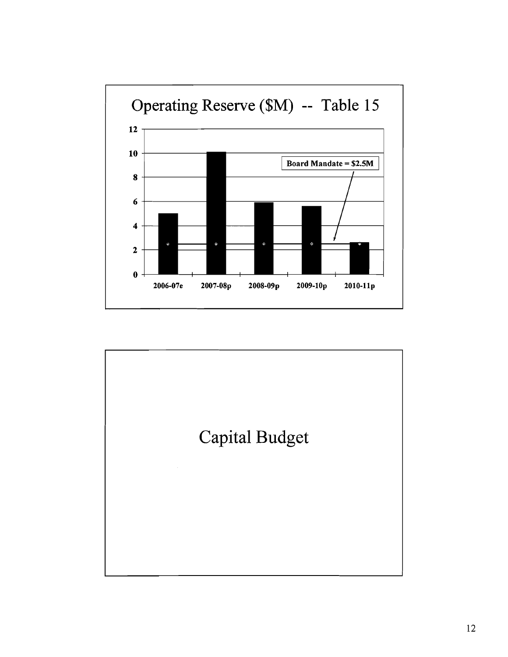

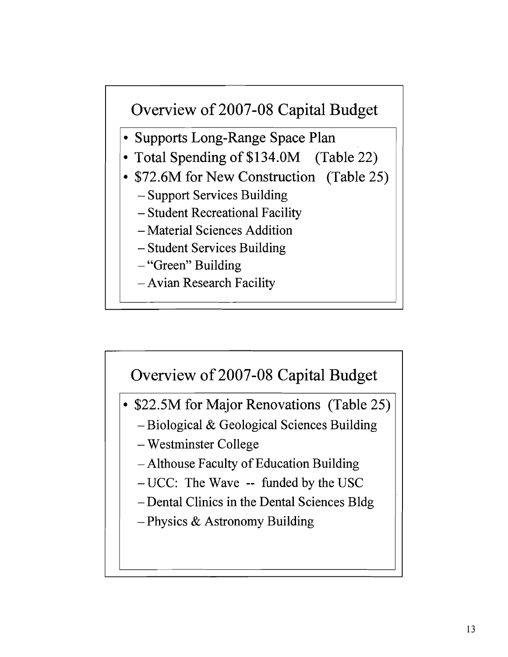# Overview of 2007-08 Capital Budget

- Supports Long-Range Space Plan
- Total Spending of \$134.0M (Table 22)
- \$72.6M for New Construction (Table 25)
	- Support Services Building
	- Student Recreational Facility
	- Material Sciences Addition
	- Student Services Building
	- "Green" Building
	- Avian Research Facility



- $-$  UCC: The Wave  $-$  funded by the USC
- -Dental Clinics in the Dental Sciences Bldg
- Physics & Astronomy Building